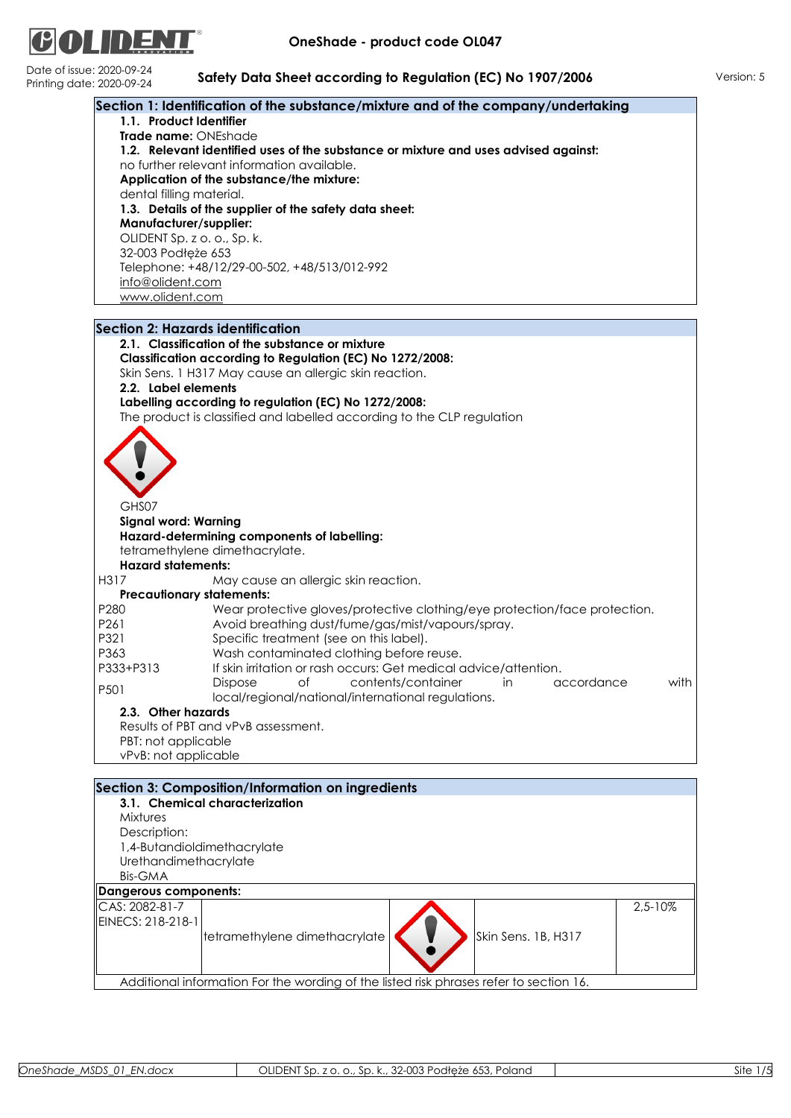

Date of issue<br>Printing da

|                                     | Section 1: Identification of the substance/mixture and of the company/undertaking   |
|-------------------------------------|-------------------------------------------------------------------------------------|
| 1.1. Product Identifier             |                                                                                     |
| Trade name: ONEshade                |                                                                                     |
|                                     | 1.2. Relevant identified uses of the substance or mixture and uses advised against: |
|                                     | no further relevant information available.                                          |
|                                     | Application of the substance/the mixture:                                           |
| dental filling material.            |                                                                                     |
|                                     | 1.3. Details of the supplier of the safety data sheet:                              |
| Manufacturer/supplier:              |                                                                                     |
|                                     | OLIDENT Sp. z o. o., Sp. k.                                                         |
| 32-003 Podłęże 653                  |                                                                                     |
|                                     | Telephone: +48/12/29-00-502, +48/513/012-992                                        |
| info@olident.com<br>www.olident.com |                                                                                     |
|                                     |                                                                                     |
|                                     | <b>Section 2: Hazards identification</b>                                            |
|                                     | 2.1. Classification of the substance or mixture                                     |
|                                     | Classification according to Regulation (EC) No 1272/2008:                           |
|                                     | Skin Sens. 1 H317 May cause an allergic skin reaction.                              |
| 2.2. Label elements                 |                                                                                     |
|                                     | Labelling according to regulation (EC) No 1272/2008:                                |
|                                     | The product is classified and labelled according to the CLP regulation              |
|                                     |                                                                                     |
|                                     |                                                                                     |
|                                     |                                                                                     |
|                                     |                                                                                     |
| GHS07                               |                                                                                     |
| <b>Signal word: Warning</b>         |                                                                                     |
|                                     | Hazard-determining components of labelling:                                         |
|                                     | tetramethylene dimethacrylate.                                                      |
| <b>Hazard statements:</b>           |                                                                                     |
| H317                                | May cause an allergic skin reaction.                                                |
|                                     | <b>Precautionary statements:</b>                                                    |
| P280                                | Wear protective gloves/protective clothing/eye protection/face protection.          |
| P261                                | Avoid breathing dust/fume/gas/mist/vapours/spray.                                   |
| P321                                | Specific treatment (see on this label).                                             |
| P363                                | Wash contaminated clothing before reuse.                                            |
| P333+P313                           | If skin irritation or rash occurs: Get medical advice/attention.                    |
|                                     | contents/container<br>with<br><b>Dispose</b><br>оf<br>in<br>accordance              |
| P501                                | local/regional/national/international regulations.                                  |
| 2.3. Other hazards                  |                                                                                     |
|                                     | Results of PBT and vPvB assessment.                                                 |
| PBT: not applicable                 |                                                                                     |
| vPvB: not applicable                |                                                                                     |
|                                     |                                                                                     |
|                                     | Section 3: Composition/Information on ingredients<br>3.1. Chemical characterization |
| Mixtures                            |                                                                                     |
| Description:                        |                                                                                     |
|                                     | 1,4-Butandioldimethacrylate                                                         |
| Urethandimethacrylate               |                                                                                     |
| <b>Bis-GMA</b>                      |                                                                                     |
| Dangerous components:               |                                                                                     |
| CAS: 2082-81-7                      | 2,5-10%                                                                             |
| EINECS: 218-218-1                   |                                                                                     |
|                                     | tetramethylene dimethacrylate<br>Skin Sens. 1B, H317                                |
|                                     |                                                                                     |
|                                     |                                                                                     |
|                                     |                                                                                     |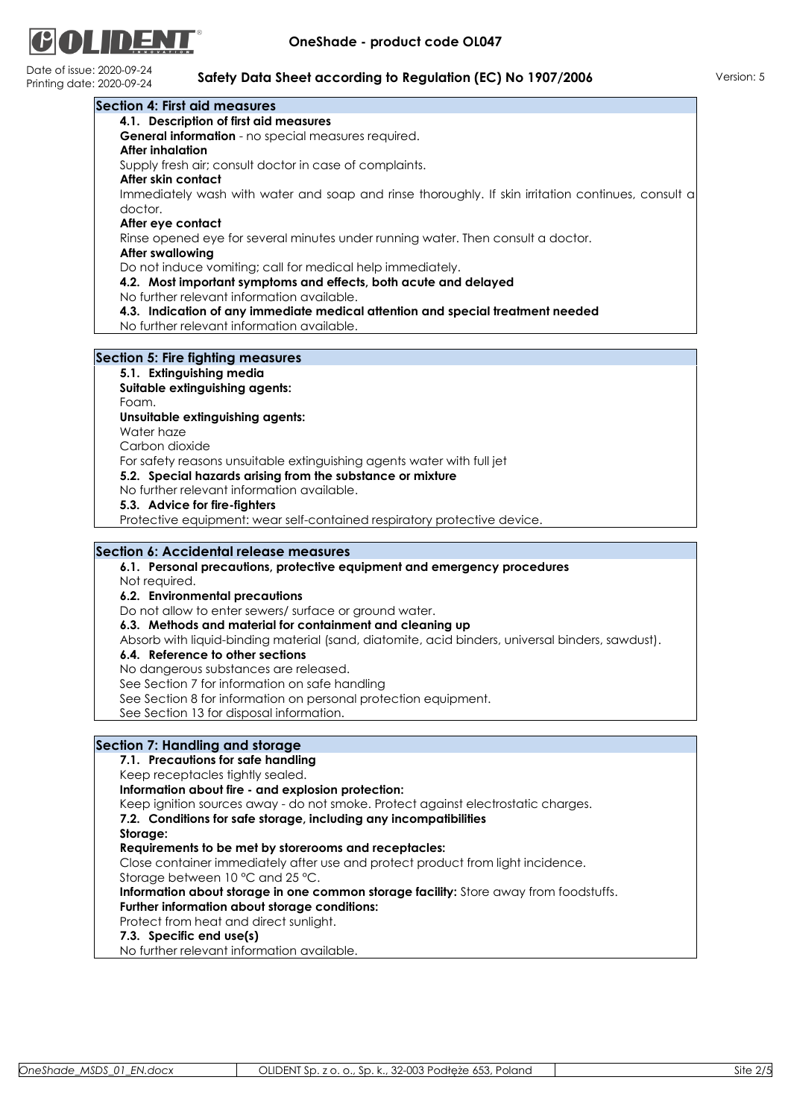

Date of issue: 2020-09-24

| <b>Section 4: First aid measures</b>                                                                      |
|-----------------------------------------------------------------------------------------------------------|
| 4.1. Description of first aid measures                                                                    |
| General information - no special measures required.                                                       |
| <b>After inhalation</b>                                                                                   |
| Supply fresh air; consult doctor in case of complaints.                                                   |
| After skin contact                                                                                        |
| Immediately wash with water and soap and rinse thoroughly. If skin irritation continues, consult a        |
| doctor.                                                                                                   |
| After eye contact                                                                                         |
| Rinse opened eye for several minutes under running water. Then consult a doctor.                          |
| <b>After swallowing</b>                                                                                   |
| Do not induce vomiting; call for medical help immediately.                                                |
| 4.2. Most important symptoms and effects, both acute and delayed                                          |
| No further relevant information available.                                                                |
| 4.3. Indication of any immediate medical attention and special treatment needed                           |
| No further relevant information available.                                                                |
|                                                                                                           |
| <b>Section 5: Fire fighting measures</b>                                                                  |
| 5.1. Extinguishing media                                                                                  |
| Suitable extinguishing agents:                                                                            |
| Foam.                                                                                                     |
| Unsuitable extinguishing agents:                                                                          |
| Water haze                                                                                                |
| Carbon dioxide                                                                                            |
| For safety reasons unsuitable extinguishing agents water with full jet                                    |
| 5.2. Special hazards arising from the substance or mixture                                                |
| No further relevant information available.                                                                |
| 5.3. Advice for fire-fighters<br>Protective equipment: wear self-contained respiratory protective device. |
|                                                                                                           |
| Section 6: Accidental release measures                                                                    |
| 6.1. Personal precautions, protective equipment and emergency procedures                                  |
| Not required.                                                                                             |
| 6.2. Environmental precautions                                                                            |
| Do not allow to enter sewers/ surface or ground water.                                                    |
| 6.3. Methods and material for containment and cleaning up                                                 |
| Absorb with liquid-binding material (sand, diatomite, acid binders, universal binders, sawdust).          |
| 6.4. Reference to other sections                                                                          |
| No danaerous substances are released.                                                                     |
| See Section 7 for information on safe handling                                                            |
| See Section 8 for information on personal protection equipment.                                           |
| See Section 13 for disposal information.                                                                  |
|                                                                                                           |
| Section 7: Handling and storage                                                                           |
| 7.1. Precautions for safe handling                                                                        |
| Keep receptacles tightly sealed.                                                                          |
| Information about fire - and explosion protection:                                                        |
| Keep ignition sources away - do not smoke. Protect against electrostatic charges.                         |
| 7.2. Conditions for safe storage, including any incompatibilities                                         |
| Storage:                                                                                                  |
| Requirements to be met by storerooms and receptacles:                                                     |
| Close container immediately after use and protect product from light incidence.                           |
| Storage between 10 °C and 25 °C.                                                                          |
| Information about storage in one common storage facility: Store away from foodstuffs.                     |
| Further information about storage conditions:                                                             |
|                                                                                                           |
|                                                                                                           |
| Protect from heat and direct sunlight.                                                                    |
| 7.3. Specific end use(s)<br>No further relevant information available.                                    |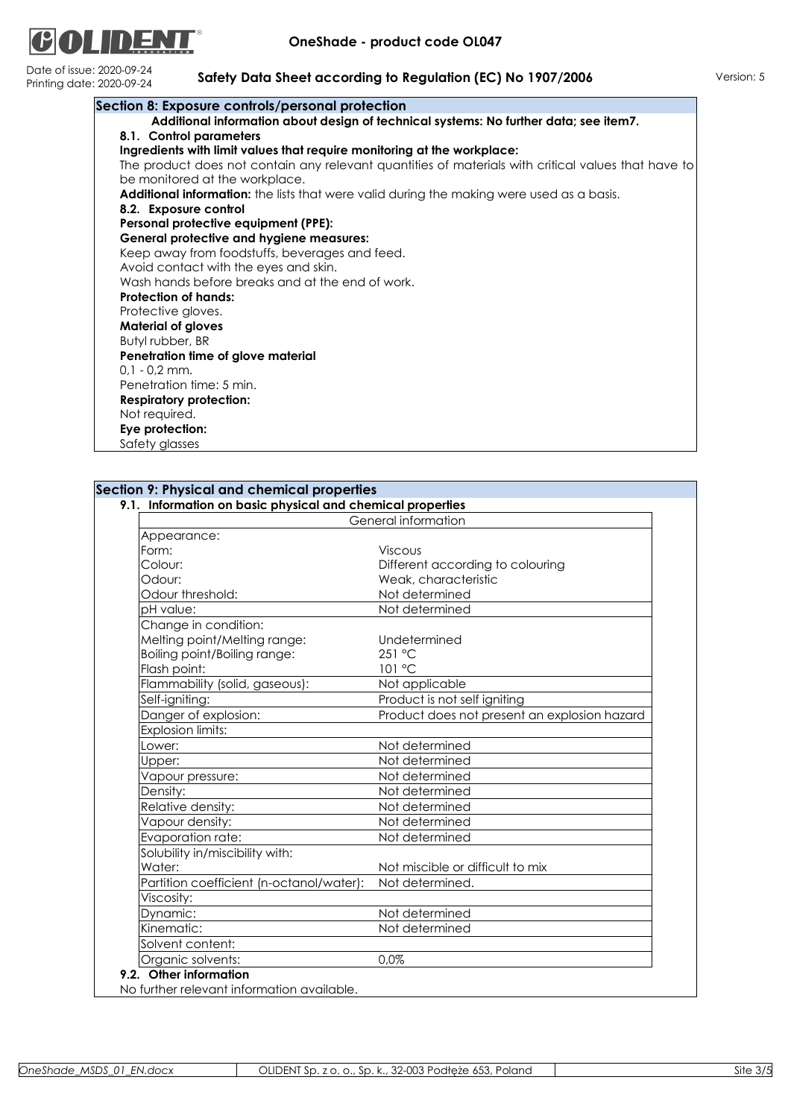

| Section 8: Exposure controls/personal protection                                                    |
|-----------------------------------------------------------------------------------------------------|
| Additional information about design of technical systems: No further data; see item7.               |
| 8.1. Control parameters                                                                             |
| Ingredients with limit values that require monitoring at the workplace:                             |
| The product does not contain any relevant quantities of materials with critical values that have to |
| be monitored at the workplace.                                                                      |
| <b>Additional information:</b> the lists that were valid during the making were used as a basis.    |
| 8.2. Exposure control                                                                               |
| Personal protective equipment (PPE):                                                                |
| <b>General protective and hygiene measures:</b>                                                     |
| Keep away from foodstuffs, beverages and feed.                                                      |
| Avoid contact with the eyes and skin.                                                               |
| Wash hands before breaks and at the end of work.                                                    |
| <b>Protection of hands:</b>                                                                         |
| Protective gloves.                                                                                  |
| <b>Material of gloves</b>                                                                           |
| Butyl rubber, BR                                                                                    |
| Penetration time of glove material                                                                  |
| $0.1 - 0.2$ mm.                                                                                     |
| Penetration time: 5 min.                                                                            |
| <b>Respiratory protection:</b>                                                                      |
| Not required.                                                                                       |
| Eye protection:                                                                                     |
| Safety glasses                                                                                      |

| <b>Section 9: Physical and chemical properties</b> |  |  |
|----------------------------------------------------|--|--|
|                                                    |  |  |

|                                          | General information                          |
|------------------------------------------|----------------------------------------------|
| Appearance:                              |                                              |
| Form:                                    | <b>Viscous</b>                               |
| Colour:                                  | Different according to colouring             |
| Odour:                                   | Weak, characteristic                         |
| Odour threshold:                         | Not determined                               |
| pH value:                                | Not determined                               |
| Change in condition:                     |                                              |
| Melting point/Melting range:             | Undetermined                                 |
| Boiling point/Boiling range:             | 251 °C                                       |
| Flash point:                             | 101 °C                                       |
| Flammability (solid, gaseous):           | Not applicable                               |
| Self-igniting:                           | Product is not self igniting                 |
| Danger of explosion:                     | Product does not present an explosion hazard |
| Explosion limits:                        |                                              |
| Lower:                                   | Not determined                               |
| Upper:                                   | Not determined                               |
| Vapour pressure:                         | Not determined                               |
| Density:                                 | Not determined                               |
| Relative density:                        | Not determined                               |
| Vapour density:                          | Not determined                               |
| Evaporation rate:                        | Not determined                               |
| Solubility in/miscibility with:          |                                              |
| Water:                                   | Not miscible or difficult to mix             |
| Partition coefficient (n-octanol/water): | Not determined.                              |
| Viscosity:                               |                                              |
| Dynamic:                                 | Not determined                               |
| Kinematic:                               | Not determined                               |
| Solvent content:                         |                                              |
| Organic solvents:                        | 0,0%                                         |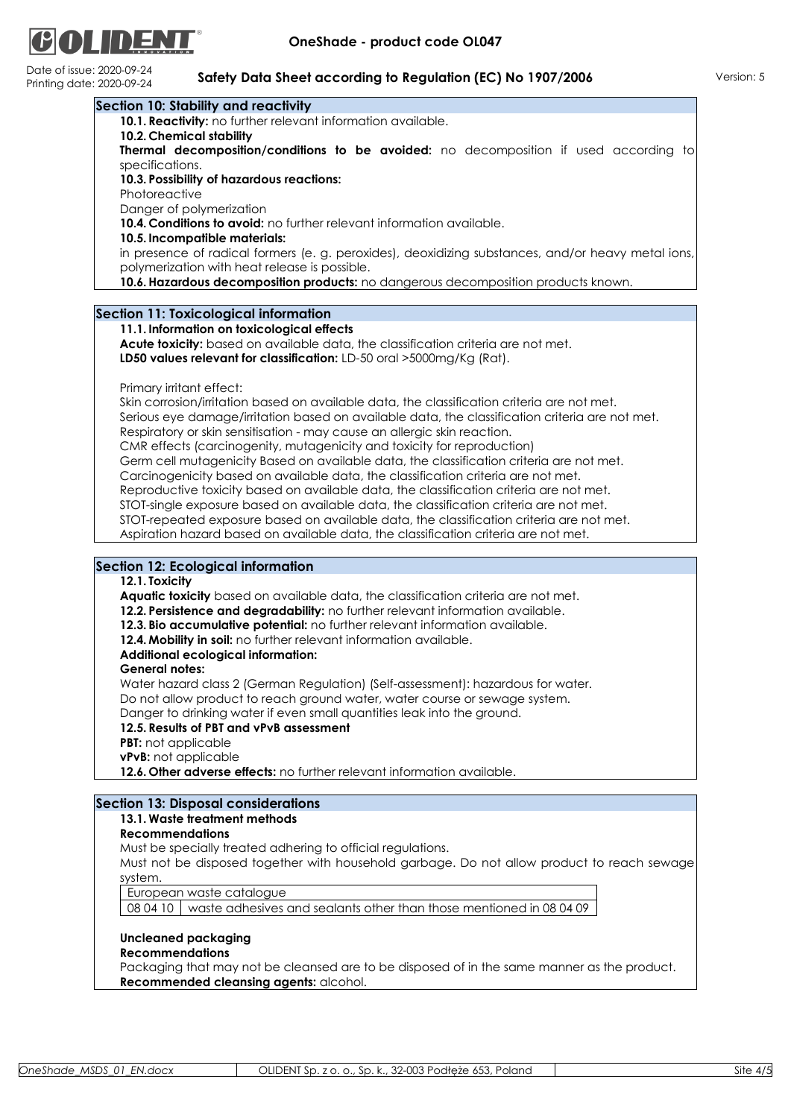

Date of issue: 2020-09-24

| date: 2020-09-24           | <b>SUILLY DUID SILEE! ACCORDING TO REGUIUILITIES, NO 1707/2006</b>                                                  |
|----------------------------|---------------------------------------------------------------------------------------------------------------------|
|                            | Section 10: Stability and reactivity                                                                                |
|                            | 10.1. Reactivity: no further relevant information available.                                                        |
| 10.2. Chemical stability   |                                                                                                                     |
|                            | Thermal decomposition/conditions to be avoided: no decomposition if used according to                               |
| specifications.            |                                                                                                                     |
|                            | 10.3. Possibility of hazardous reactions:                                                                           |
| Photoreactive              |                                                                                                                     |
| Danger of polymerization   |                                                                                                                     |
|                            | 10.4. Conditions to avoid: no further relevant information available.                                               |
|                            | 10.5. Incompatible materials:                                                                                       |
|                            | in presence of radical formers (e. g. peroxides), deoxidizing substances, and/or heavy metal ions,                  |
|                            | polymerization with heat release is possible.                                                                       |
|                            | 10.6. Hazardous decomposition products: no dangerous decomposition products known.                                  |
|                            |                                                                                                                     |
|                            |                                                                                                                     |
|                            | Section 11: Toxicological information                                                                               |
|                            | 11.1. Information on toxicological effects                                                                          |
|                            | Acute toxicity: based on available data, the classification criteria are not met.                                   |
|                            | LD50 values relevant for classification: LD-50 oral >5000mg/Kg (Rat).                                               |
|                            |                                                                                                                     |
| Primary irritant effect:   |                                                                                                                     |
|                            | Skin corrosion/irritation based on available data, the classification criteria are not met.                         |
|                            | Serious eye damage/irritation based on available data, the classification criteria are not met.                     |
|                            | Respiratory or skin sensitisation - may cause an allergic skin reaction.                                            |
|                            | CMR effects (carcinogenity, mutagenicity and toxicity for reproduction)                                             |
|                            | Germ cell mutagenicity Based on available data, the classification criteria are not met.                            |
|                            | Carcinogenicity based on available data, the classification criteria are not met.                                   |
|                            | Reproductive toxicity based on available data, the classification criteria are not met.                             |
|                            | STOT-single exposure based on available data, the classification criteria are not met.                              |
|                            | STOT-repeated exposure based on available data, the classification criteria are not met.                            |
|                            | Aspiration hazard based on available data, the classification criteria are not met.                                 |
|                            |                                                                                                                     |
|                            | <b>Section 12: Ecological information</b>                                                                           |
| 12.1. Toxicity             |                                                                                                                     |
|                            | Aquatic toxicity based on available data, the classification criteria are not met.                                  |
|                            | 12.2. Persistence and degradability: no further relevant information available.                                     |
|                            | 12.3. Bio accumulative potential: no further relevant information available.                                        |
|                            | 12.4. Mobility in soil: no further relevant information available.                                                  |
|                            | Additional ecological information:                                                                                  |
| <b>General notes:</b>      |                                                                                                                     |
|                            | Water hazard class 2 (German Regulation) (Self-assessment): hazardous for water.                                    |
|                            | Do not allow product to reach ground water, water course or sewage system.                                          |
|                            |                                                                                                                     |
|                            | Danger to drinking water if even small quantities leak into the ground.<br>12.5. Results of PBT and vPvB assessment |
|                            |                                                                                                                     |
| <b>PBT:</b> not applicable |                                                                                                                     |
| vPvB: not applicable       |                                                                                                                     |
|                            | 12.6. Other adverse effects: no further relevant information available.                                             |
|                            |                                                                                                                     |
|                            | <b>Section 13: Disposal considerations</b>                                                                          |
|                            | 13.1. Waste treatment methods                                                                                       |
| <b>Recommendations</b>     |                                                                                                                     |
|                            | Must be specially treated adhering to official regulations.                                                         |
|                            | Must not be disposed together with household garbage. Do not allow product to reach sewage                          |
| system.                    |                                                                                                                     |
|                            | European waste catalogue                                                                                            |
|                            | 08 04 10   waste adhesives and sealants other than those mentioned in 08 04 09                                      |
|                            |                                                                                                                     |

## **Uncleaned packaging**

## **Recommendations**

Packaging that may not be cleansed are to be disposed of in the same manner as the product. **Recommended cleansing agents:** alcohol.